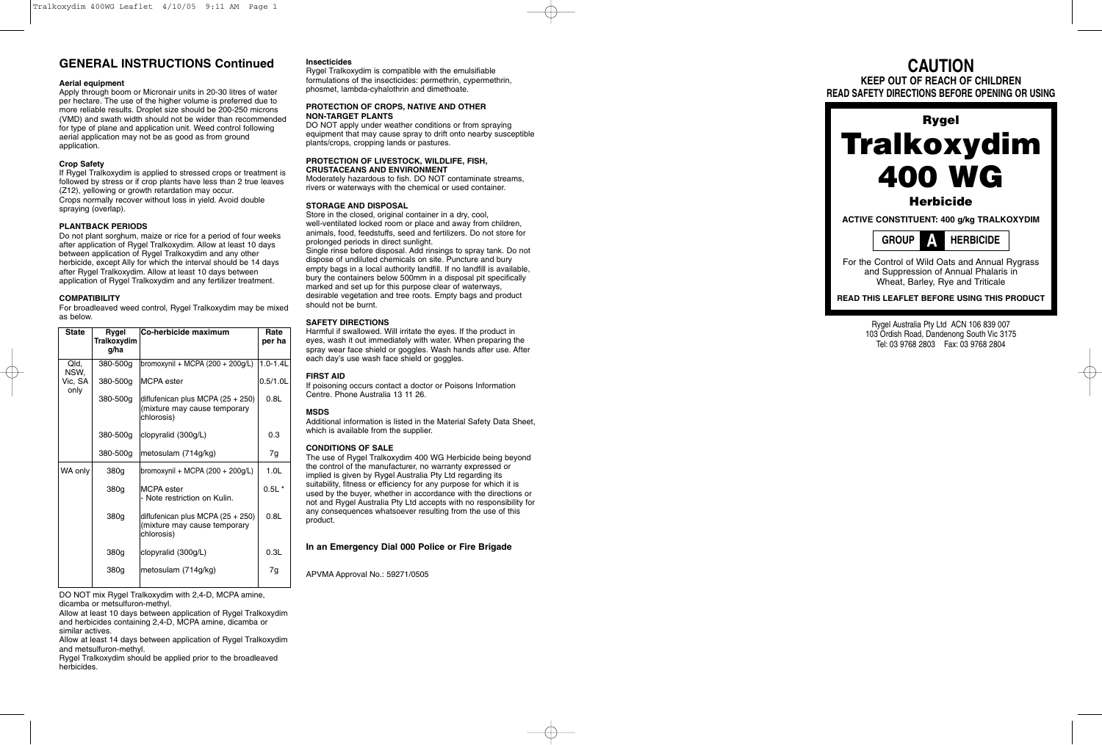# **GENERAL INSTRUCTIONS Continued**

#### **Aerial equipment**

Apply through boom or Micronair units in 20-30 litres of water per hectare. The use of the higher volume is preferred due to more reliable results. Droplet size should be 200-250 microns (VMD) and swath width should not be wider than recommended for type of plane and application unit. Weed control following aerial application may not be as good as from ground application.

# **Crop Safety**

If Rygel Tralkoxydim is applied to stressed crops or treatment is followed by stress or if crop plants have less than 2 true leaves (Z12), yellowing or growth retardation may occur. Crops normally recover without loss in yield. Avoid double spraying (overlap).

## **PLANTBACK PERIODS**

Do not plant sorghum, maize or rice for a period of four weeks after application of Rygel Tralkoxydim. Allow at least 10 days between application of Rygel Tralkoxydim and any other herbicide, except Ally for which the interval should be 14 days after Rygel Tralkoxydim. Allow at least 10 days between application of Rygel Tralkoxydim and any fertilizer treatment.

## **COMPATIBILITY**

For broadleaved weed control, Rygel Tralkoxydim may be mixed as below .

| <b>State</b>    | Rygel<br>Tralkoxydim<br>g/ha | Co-herbicide maximum                                                              | Rate<br>per ha   |
|-----------------|------------------------------|-----------------------------------------------------------------------------------|------------------|
| Qld,<br>NSW,    | 380-500g                     | bromoxynil + MCPA (200 + 200 $q/L$ )                                              | $1.0 - 1.4$ L    |
| Vic, SA<br>only | 380-500g                     | <b>MCPA</b> ester                                                                 | $0.5/1.0$ L      |
|                 | 380-500g                     | diflufenican plus MCPA $(25 + 250)$<br>(mixture may cause temporary<br>chlorosis) | 0.8L             |
|                 | 380-500g                     | clopyralid (300g/L)                                                               | 0.3              |
|                 | 380-500g                     | metosulam (714g/kg)                                                               | 7g               |
| WA only         | 380g                         | bromoxynil + MCPA $(200 + 200g/L)$                                                | 1.0 <sub>L</sub> |
|                 | 380g                         | <b>MCPA</b> ester<br>- Note restriction on Kulin.                                 | $0.5L$ *         |
|                 | 380g                         | diflufenican plus MCPA (25 + 250)<br>(mixture may cause temporary<br>chlorosis)   | 0.8L             |
|                 | 380g                         | clopyralid (300g/L)                                                               | 0.3L             |
|                 | 380g                         | metosulam (714g/kg)                                                               | 7g               |
|                 |                              |                                                                                   |                  |

DO NOT mix Rygel Tralkoxydim with 2,4-D, MCPA amine, dicamba or metsulfuron-methyl.

Allow at least 10 days between application of Rygel Tralkoxydim and herbicides containing 2,4-D, MCPA amine, dicamba or similar actives.

Allow at least 14 days between application of Rygel Tralkoxydim and metsulfuron-methyl.

Rygel Tralkoxydim should be applied prior to the broadleaved herbicides.

## **Insecticides**

Rygel Tralkoxydim is compatible with the emulsifiable formulations of the insecticides: permethrin, cypermethrin, phosmet, lambda-cyhalothrin and dimethoate.

#### **PROTECTION OF CROPS, NATIVE AND OTHER NON-TARGET PLANTS**

DO NOT apply under weather conditions or from spraying equipment that may cause spray to drift onto nearby susceptible plants/crops, cropping lands or pastures.

# **PROTECTION OF LIVESTOCK, WILDLIFE, FISH,**

**CRUSTACEANS AND ENVIRONMENT** Moderately hazardous to fish. DO NOT contaminate streams, rivers or waterways with the chemical or used container.

#### **STORAGE AND DISPOSAL**

Store in the closed, original container in a dry, cool, well-ventilated locked room or place and away from children, animals, food, feedstuffs, seed and fertilizers. Do not store for prolonged periods in direct sunlight. Single rinse before disposal. Add rinsings to spray tank. Do not dispose of undiluted chemicals on site. Puncture and bury empty bags in a local authority landfill. If no landfill is available, bury the containers below 500mm in a disposal pit specifically marked and set up for this purpose clear of waterways, desirable vegetation and tree roots. Empty bags and product should not be burnt.

#### **SAFETY DIRECTIONS**

Harmful if swallowed. Will irritate the eyes. If the product in eyes, wash it out immediately with water. When preparing the spray wear face shield or goggles. Wash hands after use. After each day's use wash face shield or goggles.

### **FIRST AID**

If poisoning occurs contact a doctor or Poisons Information Centre. Phone Australia 13 11 26.

## **MSDS**

Additional information is listed in the Material Safety Data Sheet, which is available from the supplier .

#### **CONDITIONS OF SALE**

The use of Rygel Tralkoxydim 400 WG Herbicide being beyond the control of the manufacturer, no warranty expressed or implied is given by Rygel Australia Pty Ltd regarding its suitability, fitness or efficiency for any purpose for which it is used by the buyer, whether in accordance with the directions or not and Rygel Australia Pty Ltd accepts with no responsibility for any consequences whatsoever resulting from the use of this product.

# **In an Emergency Dial 000 Police or Fire Brigade**

APVMA Approval No.: 59271/0505

# **CAUTION KEEP OUT OF REACH OF CHILDREN**

**READ SAFETY DIRECTIONS BEFORE OPENING OR USING**



Rygel Australia Pty Ltd ACN 106 839 007 103 Ordish Road, Dandenong South Vic 3175